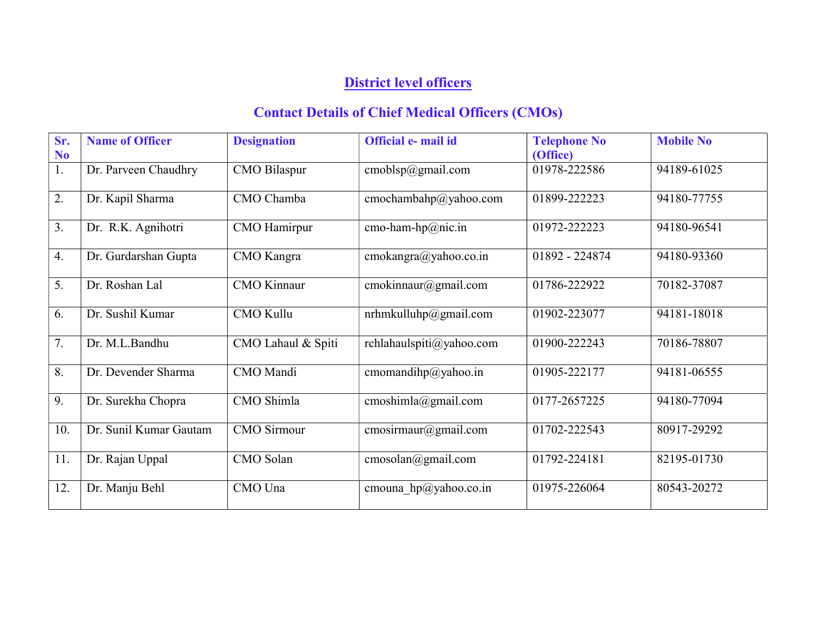## District level officers

## Contact Details of Chief Medical Officers (CMOs)

| Sr.<br>N <sub>0</sub> | <b>Name of Officer</b> | <b>Designation</b>  | Official e- mail id      | <b>Telephone No</b><br>(Office) | <b>Mobile No</b> |
|-----------------------|------------------------|---------------------|--------------------------|---------------------------------|------------------|
| 1.                    | Dr. Parveen Chaudhry   | <b>CMO</b> Bilaspur | cmoblsp@gmail.com        | 01978-222586                    | 94189-61025      |
| 2.                    | Dr. Kapil Sharma       | CMO Chamba          | cmochambahp@yahoo.com    | 01899-222223                    | 94180-77755      |
| 3.                    | Dr. R.K. Agnihotri     | CMO Hamirpur        | cmo-ham-hp@nic.in        | 01972-222223                    | 94180-96541      |
| 4.                    | Dr. Gurdarshan Gupta   | CMO Kangra          | cmokangra@yahoo.co.in    | 01892 - 224874                  | 94180-93360      |
| 5.                    | Dr. Roshan Lal         | <b>CMO</b> Kinnaur  | cmokinnaur@gmail.com     | 01786-222922                    | 70182-37087      |
| 6.                    | Dr. Sushil Kumar       | <b>CMO Kullu</b>    | nrhmkulluhp@gmail.com    | 01902-223077                    | 94181-18018      |
| 7.                    | Dr. M.L.Bandhu         | CMO Lahaul & Spiti  | rchlahaulspiti@yahoo.com | 01900-222243                    | 70186-78807      |
| 8.                    | Dr. Devender Sharma    | CMO Mandi           | cmomandihp@yahoo.in      | 01905-222177                    | 94181-06555      |
| 9.                    | Dr. Surekha Chopra     | CMO Shimla          | cmoshimla@gmail.com      | 0177-2657225                    | 94180-77094      |
| 10.                   | Dr. Sunil Kumar Gautam | <b>CMO</b> Sirmour  | cmosirmaur@gmail.com     | 01702-222543                    | 80917-29292      |
| 11.                   | Dr. Rajan Uppal        | CMO Solan           | cmosolan@gmail.com       | 01792-224181                    | 82195-01730      |
| 12.                   | Dr. Manju Behl         | CMO Una             | cmouna $hp@yahoo.co.in$  | 01975-226064                    | 80543-20272      |